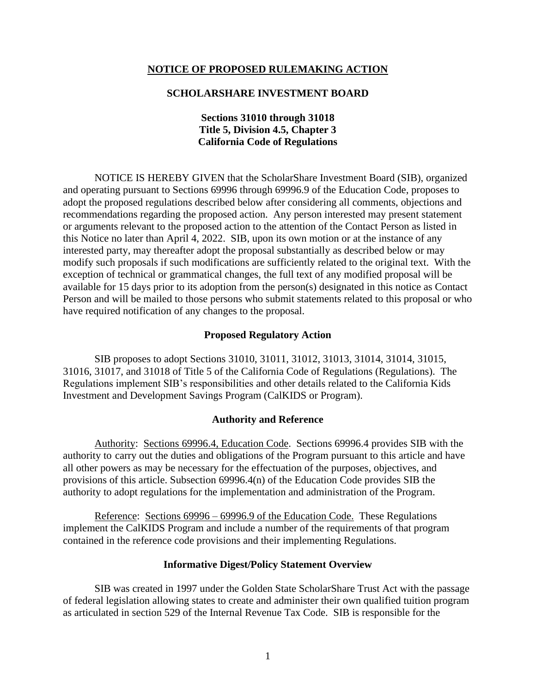### **NOTICE OF PROPOSED RULEMAKING ACTION**

### **SCHOLARSHARE INVESTMENT BOARD**

## **Sections 31010 through 31018 Title 5, Division 4.5, Chapter 3 California Code of Regulations**

NOTICE IS HEREBY GIVEN that the ScholarShare Investment Board (SIB), organized and operating pursuant to Sections 69996 through 69996.9 of the Education Code, proposes to adopt the proposed regulations described below after considering all comments, objections and recommendations regarding the proposed action. Any person interested may present statement or arguments relevant to the proposed action to the attention of the Contact Person as listed in this Notice no later than April 4, 2022. SIB, upon its own motion or at the instance of any interested party, may thereafter adopt the proposal substantially as described below or may modify such proposals if such modifications are sufficiently related to the original text. With the exception of technical or grammatical changes, the full text of any modified proposal will be available for 15 days prior to its adoption from the person(s) designated in this notice as Contact Person and will be mailed to those persons who submit statements related to this proposal or who have required notification of any changes to the proposal.

#### **Proposed Regulatory Action**

SIB proposes to adopt Sections 31010, 31011, 31012, 31013, 31014, 31014, 31015, 31016, 31017, and 31018 of Title 5 of the California Code of Regulations (Regulations). The Regulations implement SIB's responsibilities and other details related to the California Kids Investment and Development Savings Program (CalKIDS or Program).

#### **Authority and Reference**

Authority: Sections 69996.4, Education Code. Sections 69996.4 provides SIB with the authority to carry out the duties and obligations of the Program pursuant to this article and have all other powers as may be necessary for the effectuation of the purposes, objectives, and provisions of this article. Subsection 69996.4(n) of the Education Code provides SIB the authority to adopt regulations for the implementation and administration of the Program.

Reference: Sections 69996 – 69996.9 of the Education Code. These Regulations implement the CalKIDS Program and include a number of the requirements of that program contained in the reference code provisions and their implementing Regulations.

#### **Informative Digest/Policy Statement Overview**

SIB was created in 1997 under the Golden State ScholarShare Trust Act with the passage of federal legislation allowing states to create and administer their own qualified tuition program as articulated in section 529 of the Internal Revenue Tax Code. SIB is responsible for the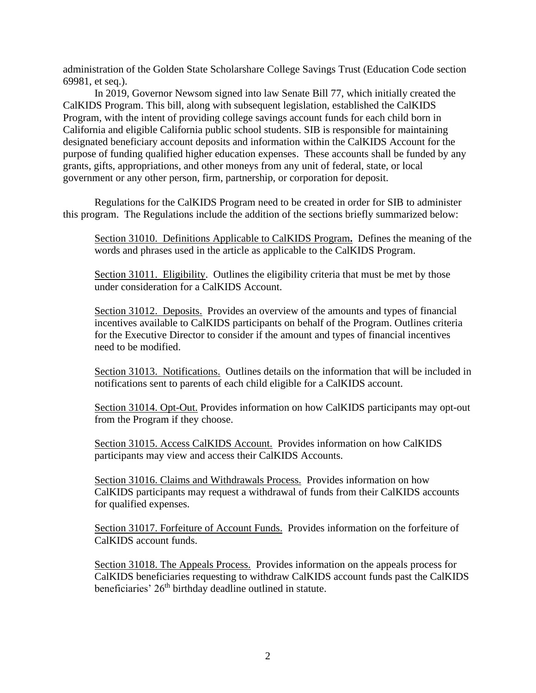administration of the Golden State Scholarshare College Savings Trust (Education Code section 69981, et seq.).

In 2019, Governor Newsom signed into law Senate Bill 77, which initially created the CalKIDS Program. This bill, along with subsequent legislation, established the CalKIDS Program, with the intent of providing college savings account funds for each child born in California and eligible California public school students. SIB is responsible for maintaining designated beneficiary account deposits and information within the CalKIDS Account for the purpose of funding qualified higher education expenses. These accounts shall be funded by any grants, gifts, appropriations, and other moneys from any unit of federal, state, or local government or any other person, firm, partnership, or corporation for deposit.

Regulations for the CalKIDS Program need to be created in order for SIB to administer this program. The Regulations include the addition of the sections briefly summarized below:

Section 31010. Definitions Applicable to CalKIDS Program**.** Defines the meaning of the words and phrases used in the article as applicable to the CalKIDS Program.

Section 31011. Eligibility. Outlines the eligibility criteria that must be met by those under consideration for a CalKIDS Account.

Section 31012. Deposits.Provides an overview of the amounts and types of financial incentives available to CalKIDS participants on behalf of the Program. Outlines criteria for the Executive Director to consider if the amount and types of financial incentives need to be modified.

Section 31013. Notifications. Outlines details on the information that will be included in notifications sent to parents of each child eligible for a CalKIDS account.

Section 31014. Opt-Out. Provides information on how CalKIDS participants may opt-out from the Program if they choose.

Section 31015. Access CalKIDS Account.Provides information on how CalKIDS participants may view and access their CalKIDS Accounts.

Section 31016. Claims and Withdrawals Process.Provides information on how CalKIDS participants may request a withdrawal of funds from their CalKIDS accounts for qualified expenses.

Section 31017. Forfeiture of Account Funds. Provides information on the forfeiture of CalKIDS account funds.

Section 31018. The Appeals Process. Provides information on the appeals process for CalKIDS beneficiaries requesting to withdraw CalKIDS account funds past the CalKIDS beneficiaries' 26<sup>th</sup> birthday deadline outlined in statute.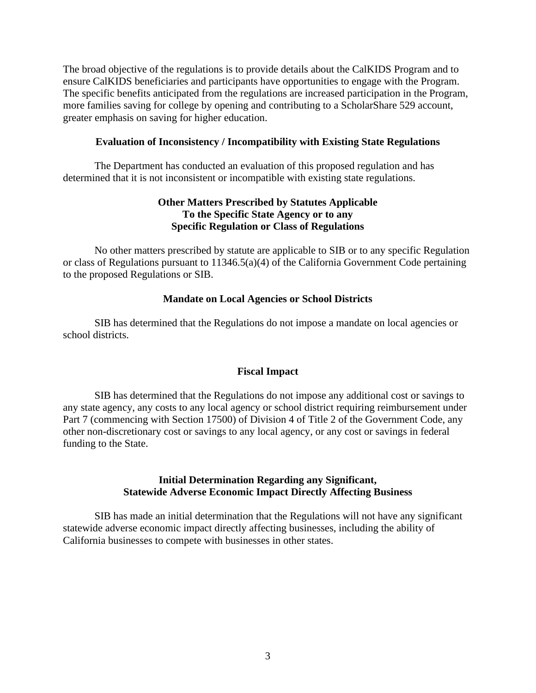The broad objective of the regulations is to provide details about the CalKIDS Program and to ensure CalKIDS beneficiaries and participants have opportunities to engage with the Program. The specific benefits anticipated from the regulations are increased participation in the Program, more families saving for college by opening and contributing to a ScholarShare 529 account, greater emphasis on saving for higher education.

## **Evaluation of Inconsistency / Incompatibility with Existing State Regulations**

The Department has conducted an evaluation of this proposed regulation and has determined that it is not inconsistent or incompatible with existing state regulations.

# **Other Matters Prescribed by Statutes Applicable To the Specific State Agency or to any Specific Regulation or Class of Regulations**

No other matters prescribed by statute are applicable to SIB or to any specific Regulation or class of Regulations pursuant to 11346.5(a)(4) of the California Government Code pertaining to the proposed Regulations or SIB.

## **Mandate on Local Agencies or School Districts**

SIB has determined that the Regulations do not impose a mandate on local agencies or school districts.

## **Fiscal Impact**

SIB has determined that the Regulations do not impose any additional cost or savings to any state agency, any costs to any local agency or school district requiring reimbursement under Part 7 (commencing with Section 17500) of Division 4 of Title 2 of the Government Code, any other non-discretionary cost or savings to any local agency, or any cost or savings in federal funding to the State.

## **Initial Determination Regarding any Significant, Statewide Adverse Economic Impact Directly Affecting Business**

SIB has made an initial determination that the Regulations will not have any significant statewide adverse economic impact directly affecting businesses, including the ability of California businesses to compete with businesses in other states.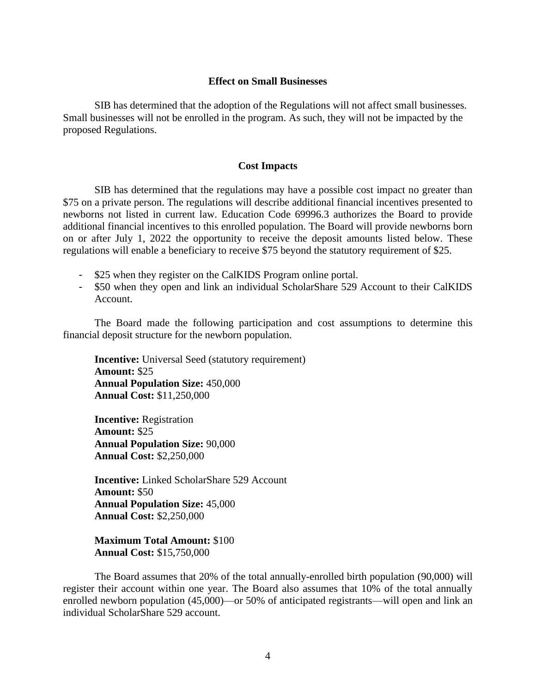### **Effect on Small Businesses**

SIB has determined that the adoption of the Regulations will not affect small businesses. Small businesses will not be enrolled in the program. As such, they will not be impacted by the proposed Regulations.

#### **Cost Impacts**

SIB has determined that the regulations may have a possible cost impact no greater than \$75 on a private person. The regulations will describe additional financial incentives presented to newborns not listed in current law. Education Code 69996.3 authorizes the Board to provide additional financial incentives to this enrolled population. The Board will provide newborns born on or after July 1, 2022 the opportunity to receive the deposit amounts listed below. These regulations will enable a beneficiary to receive \$75 beyond the statutory requirement of \$25.

- \$25 when they register on the CalKIDS Program online portal.
- \$50 when they open and link an individual ScholarShare 529 Account to their CalKIDS Account.

The Board made the following participation and cost assumptions to determine this financial deposit structure for the newborn population.

**Incentive:** Universal Seed (statutory requirement) **Amount:** \$25 **Annual Population Size:** 450,000 **Annual Cost:** \$11,250,000

**Incentive:** Registration **Amount:** \$25 **Annual Population Size:** 90,000 **Annual Cost:** \$2,250,000

**Incentive:** Linked ScholarShare 529 Account **Amount:** \$50 **Annual Population Size:** 45,000 **Annual Cost:** \$2,250,000

**Maximum Total Amount:** \$100 **Annual Cost:** \$15,750,000

The Board assumes that 20% of the total annually-enrolled birth population (90,000) will register their account within one year. The Board also assumes that 10% of the total annually enrolled newborn population (45,000)—or 50% of anticipated registrants—will open and link an individual ScholarShare 529 account.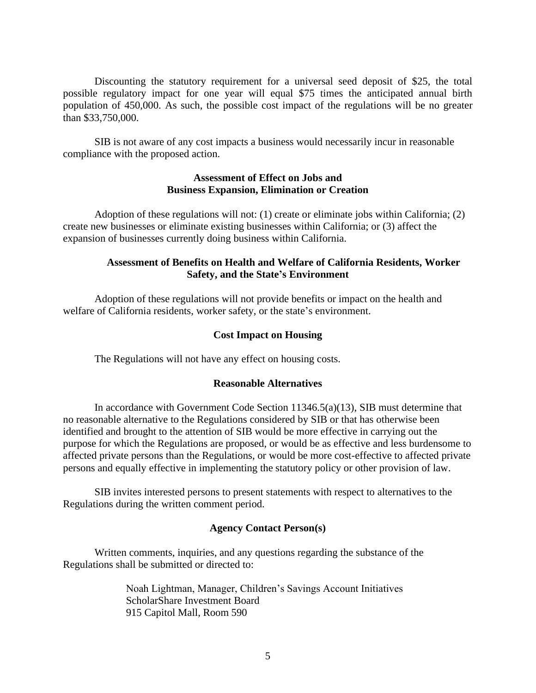Discounting the statutory requirement for a universal seed deposit of \$25, the total possible regulatory impact for one year will equal \$75 times the anticipated annual birth population of 450,000. As such, the possible cost impact of the regulations will be no greater than \$33,750,000.

SIB is not aware of any cost impacts a business would necessarily incur in reasonable compliance with the proposed action.

## **Assessment of Effect on Jobs and Business Expansion, Elimination or Creation**

Adoption of these regulations will not: (1) create or eliminate jobs within California; (2) create new businesses or eliminate existing businesses within California; or (3) affect the expansion of businesses currently doing business within California.

## **Assessment of Benefits on Health and Welfare of California Residents, Worker Safety, and the State's Environment**

Adoption of these regulations will not provide benefits or impact on the health and welfare of California residents, worker safety, or the state's environment.

## **Cost Impact on Housing**

The Regulations will not have any effect on housing costs.

## **Reasonable Alternatives**

In accordance with Government Code Section 11346.5(a)(13), SIB must determine that no reasonable alternative to the Regulations considered by SIB or that has otherwise been identified and brought to the attention of SIB would be more effective in carrying out the purpose for which the Regulations are proposed, or would be as effective and less burdensome to affected private persons than the Regulations, or would be more cost-effective to affected private persons and equally effective in implementing the statutory policy or other provision of law.

SIB invites interested persons to present statements with respect to alternatives to the Regulations during the written comment period.

## **Agency Contact Person(s)**

Written comments, inquiries, and any questions regarding the substance of the Regulations shall be submitted or directed to:

> Noah Lightman, Manager, Children's Savings Account Initiatives ScholarShare Investment Board 915 Capitol Mall, Room 590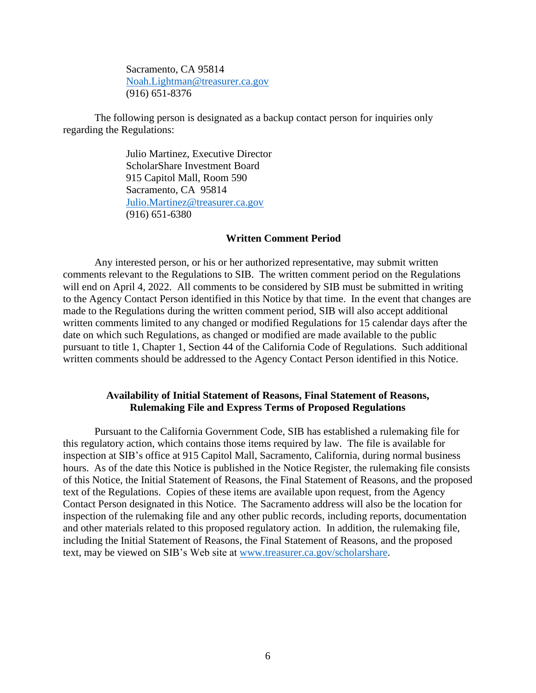Sacramento, CA 95814 [Noah.Lightman@treasurer.ca.gov](mailto:Noah.Lightman@treasurer.ca.gov) (916) 651-8376

The following person is designated as a backup contact person for inquiries only regarding the Regulations:

> Julio Martinez, Executive Director ScholarShare Investment Board 915 Capitol Mall, Room 590 Sacramento, CA 95814 [Julio.Martinez@treasurer.ca.gov](mailto:Julio.Martinez@treasurer.ca.gov) (916) 651-6380

### **Written Comment Period**

Any interested person, or his or her authorized representative, may submit written comments relevant to the Regulations to SIB. The written comment period on the Regulations will end on April 4, 2022. All comments to be considered by SIB must be submitted in writing to the Agency Contact Person identified in this Notice by that time. In the event that changes are made to the Regulations during the written comment period, SIB will also accept additional written comments limited to any changed or modified Regulations for 15 calendar days after the date on which such Regulations, as changed or modified are made available to the public pursuant to title 1, Chapter 1, Section 44 of the California Code of Regulations. Such additional written comments should be addressed to the Agency Contact Person identified in this Notice.

### **Availability of Initial Statement of Reasons, Final Statement of Reasons, Rulemaking File and Express Terms of Proposed Regulations**

Pursuant to the California Government Code, SIB has established a rulemaking file for this regulatory action, which contains those items required by law. The file is available for inspection at SIB's office at 915 Capitol Mall, Sacramento, California, during normal business hours. As of the date this Notice is published in the Notice Register, the rulemaking file consists of this Notice, the Initial Statement of Reasons, the Final Statement of Reasons, and the proposed text of the Regulations. Copies of these items are available upon request, from the Agency Contact Person designated in this Notice. The Sacramento address will also be the location for inspection of the rulemaking file and any other public records, including reports, documentation and other materials related to this proposed regulatory action. In addition, the rulemaking file, including the Initial Statement of Reasons, the Final Statement of Reasons, and the proposed text, may be viewed on SIB's Web site at [www.treasurer.ca.gov/scholarshare.](http://www.treasurer.ca.gov/scholarshare)